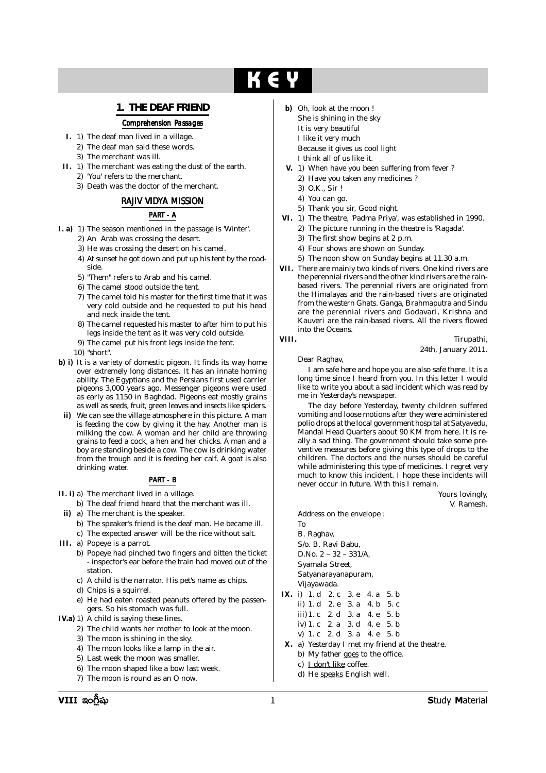# **K** -

# **1. THE DEAF FRIEND**

#### *Comprehension Passages*

- **I.** 1) The deaf man lived in a village.
	- 2) The deaf man said these words.
	- 3) The merchant was ill.
- **II.** 1) The merchant was eating the dust of the earth. 2) 'You' refers to the merchant.
	- 3) Death was the doctor of the merchant.

## *RAJIV VIDYA MISSION*

### *PART - A*

- **I. a)** 1) The season mentioned in the passage is 'Winter'.
	- 2) An Arab was crossing the desert.
	- 3) He was crossing the desert on his camel.
	- 4) At sunset he got down and put up his tent by the roadside.
	- 5) "Them" refers to Arab and his camel.
	- 6) The camel stood outside the tent.
	- 7) The camel told his master for the first time that it was very cold outside and he requested to put his head and neck inside the tent.
	- 8) The camel requested his master to after him to put his legs inside the tent as it was very cold outside.
	- 9) The camel put his front legs inside the tent.
	- 10) "short".
- **b) i)** It is a variety of domestic pigeon. It finds its way home over extremely long distances. It has an innate homing ability. The Egyptians and the Persians first used carrier pigeons 3,000 years ago. Messenger pigeons were used as early as 1150 in Baghdad. Pigeons eat mostly grains as well as seeds, fruit, green leaves and insects like spiders.
- **ii)** We can see the village atmosphere in this picture. A man is feeding the cow by giving it the hay. Another man is milking the cow. A woman and her child are throwing grains to feed a cock, a hen and her chicks. A man and a boy are standing beside a cow. The cow is drinking water from the trough and it is feeding her calf. A goat is also drinking water.

#### *PART - B*

- **II. i)** a) The merchant lived in a village.
	- b) The deaf friend heard that the merchant was ill.
- **ii)** a) The merchant is the speaker.
	- b) The speaker's friend is the deaf man. He became ill. c) The expected answer will be the rice without salt.
- **III.** a) Popeye is a parrot.
	- b) Popeye had pinched two fingers and bitten the ticket - inspector's ear before the train had moved out of the station.
	- c) A child is the narrator. His pet's name as chips.
	- d) Chips is a squirrel.
	- e) He had eaten roasted peanuts offered by the passengers. So his stomach was full.
- **IV.a)** 1) A child is saying these lines.
	- 2) The child wants her mother to look at the moon.
	- 3) The moon is shining in the sky.
	- 4) The moon looks like a lamp in the air.
	- 5) Last week the moon was smaller.
	- 6) The moon shaped like a bow last week.
	- 7) The moon is round as an O now.
- **b)** Oh, look at the moon ! She is shining in the sky It is very beautiful I like it very much Because it gives us cool light I think all of us like it.
- **V.** 1) When have you been suffering from fever ?
	- 2) Have you taken any medicines ?
	- 3) O.K., Sir !
	- 4) You can go.
- 5) Thank you sir, Good night.
- **VI.** 1) The theatre, 'Padma Priya', was established in 1990.
	- 2) The picture running in the theatre is 'Ragada'.
	- 3) The first show begins at 2 p.m.
	- 4) Four shows are shown on Sunday.
	- 5) The noon show on Sunday begins at 11.30 a.m.
- **VII.** There are mainly two kinds of rivers. One kind rivers are the perennial rivers and the other kind rivers are the rainbased rivers. The perennial rivers are originated from the Himalayas and the rain-based rivers are originated from the western Ghats. Ganga, Brahmaputra and Sindu are the perennial rivers and Godavari, Krishna and Kauveri are the rain-based rivers. All the rivers flowed into the Oceans.

**VIII.** Tirupathi, 24th, January 2011.

Dear Raghav,

I am safe here and hope you are also safe there. It is a long time since I heard from you. In this letter I would like to write you about a sad incident which was read by me in Yesterday's newspaper.

The day before Yesterday, twenty children suffered vomiting and loose motions after they were administered polio drops at the local government hospital at Satyavedu, Mandal Head Quarters about 90 KM from here. It is really a sad thing. The government should take some preventive measures before giving this type of drops to the children. The doctors and the nurses should be careful while administering this type of medicines. I regret very much to know this incident. I hope these incidents will never occur in future. With this I remain.

> Yours lovingly, V. Ramesh.

Address on the envelope : To B. Raghav, S/o. B. Ravi Babu, D.No. 2 – 32 – 331/A, Syamala Street, Satyanarayanapuram, Vijayawada. **IX.** i) 1. d 2. c 3. e 4. a 5. b ii) 1. d 2. e 3. a 4. b 5. c iii)1. c 2. d 3. a 4. e 5. b iv) 1. c 2. a 3. d 4. e 5. b v) 1. c 2. d 3. a 4. e 5. b **X.** a) Yesterday I met my friend at the theatre. b) My father goes to the office. c) I don't like coffee. d) He speaks English well.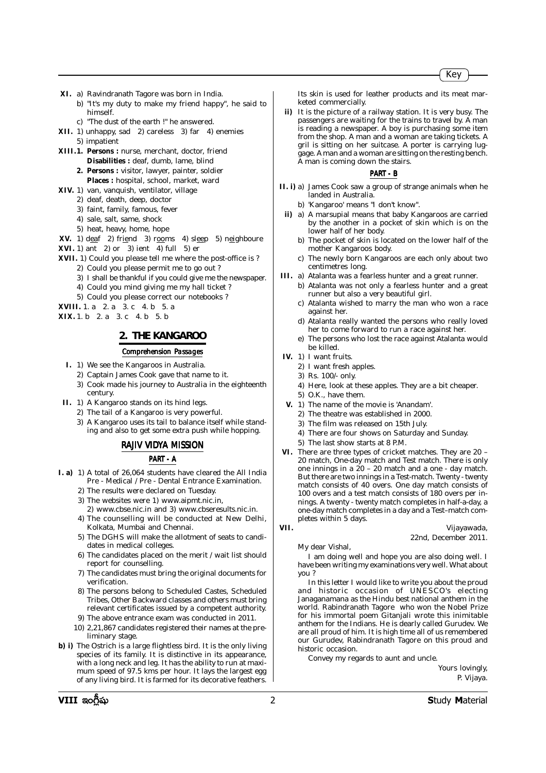- **XI.** a) Ravindranath Tagore was born in India.
	- b) "It's my duty to make my friend happy", he said to himself.
	- c) "The dust of the earth !" he answered.
- **XII.** 1) unhappy, sad 2) careless 3) far 4) enemies 5) impatient
- **XIII.1. Persons :** nurse, merchant, doctor, friend **Disabilities :** deaf, dumb, lame, blind
	- **2. Persons :** visitor, lawyer, painter, soldier **Places :** hospital, school, market, ward
- **XIV.** 1) van, vanquish, ventilator, village
	- 2) deaf, death, deep, doctor
	- 3) faint, family, famous, fever
	- 4) sale, salt, same, shock
	- 5) heat, heavy, home, hope
- **XV.** 1) deaf 2) friend 3) rooms 4) sleep 5) neighboure
- **XVI.** 1) ant 2) or 3) ient 4) full 5) er
- **XVII.** 1) Could you please tell me where the post-office is ?
	- 2) Could you please permit me to go out ?
		- 3) I shall be thankful if you could give me the newspaper.
		- 4) Could you mind giving me my hall ticket ?
		- 5) Could you please correct our notebooks ?

**XVIII.** 1. a 2. a 3. c 4. b 5. a **XIX.** 1. b 2. a 3. c 4. b 5. b

# **2. THE KANGAROO**

#### *Comprehension Passages*

- **I.** 1) We see the Kangaroos in Australia.
	- 2) Captain James Cook gave that name to it.
	- 3) Cook made his journey to Australia in the eighteenth century.
- **II.** 1) A Kangaroo stands on its hind legs.
	- 2) The tail of a Kangaroo is very powerful.
	- 3) A Kangaroo uses its tail to balance itself while standing and also to get some extra push while hopping.

#### *RAJIV VIDYA MISSION*

#### *PART - A*

- **I. a)** 1) A total of 26,064 students have cleared the All India Pre - Medical / Pre - Dental Entrance Examination.
	- 2) The results were declared on Tuesday.
	- 3) The websites were 1) www.aipmt.nic.in, 2) www.cbse.nic.in and 3) www.cbseresults.nic.in.
	- 4) The counselling will be conducted at New Delhi, Kolkata, Mumbai and Chennai.
	- 5) The DGHS will make the allotment of seats to candidates in medical colleges.
	- 6) The candidates placed on the merit / wait list should report for counselling.
	- 7) The candidates must bring the original documents for verification.
	- 8) The persons belong to Scheduled Castes, Scheduled Tribes, Other Backward classes and others must bring relevant certificates issued by a competent authority.
	- 9) The above entrance exam was conducted in 2011.
	- 10) 2,21,867 candidates registered their names at the preliminary stage.
- **b) i)** The Ostrich is a large flightless bird. It is the only living species of its family. It is distinctive in its appearance, with a long neck and leg. It has the ability to run at maximum speed of 97.5 kms per hour. It lays the largest egg of any living bird. It is farmed for its decorative feathers.

Its skin is used for leather products and its meat marketed commercially.

**ii)** It is the picture of a railway station. It is very busy. The passengers are waiting for the trains to travel by. A man is reading a newspaper. A boy is purchasing some item from the shop. A man and a woman are taking tickets. A gril is sitting on her suitcase. A porter is carrying luggage. A man and a woman are sitting on the resting bench. A man is coming down the stairs.

#### *PART - B*

- **II. i)** a) James Cook saw a group of strange animals when he landed in Australia.
	- b) 'Kangaroo' means "I don't know".
	- **ii)** a) A marsupial means that baby Kangaroos are carried by the another in a pocket of skin which is on the lower half of her body.
		- b) The pocket of skin is located on the lower half of the mother Kangaroos body.
		- c) The newly born Kangaroos are each only about two centimetres long.
- **III.** a) Atalanta was a fearless hunter and a great runner.
	- b) Atalanta was not only a fearless hunter and a great runner but also a very beautiful girl.
	- c) Atalanta wished to marry the man who won a race against her.
	- d) Atalanta really wanted the persons who really loved her to come forward to run a race against her.
	- e) The persons who lost the race against Atalanta would be killed.
- **IV.** 1) I want fruits.
	- 2) I want fresh apples.
	- 3) Rs. 100/- only.
	- 4) Here, look at these apples. They are a bit cheaper.
	- 5) O.K., have them.
- **V.** 1) The name of the movie is 'Anandam'.
	- 2) The theatre was established in 2000.
	- 3) The film was released on 15th July.
	- 4) There are four shows on Saturday and Sunday.
- 5) The last show starts at 8 P.M.
- **VI.** There are three types of cricket matches. They are 20 20 match, One-day match and Test match. There is only one innings in a  $20 - 20$  match and a one - day match. But there are two innings in a Test-match. Twenty - twenty match consists of 40 overs. One day match consists of 100 overs and a test match consists of 180 overs per innings. A twenty - twenty match completes in half-a-day, a one-day match completes in a day and a Test–match completes within 5 days.
- 

#### **VII.** Vijayawada, 22nd, December 2011.

My dear Vishal,

I am doing well and hope you are also doing well. I have been writing my examinations very well. What about you ?

In this letter I would like to write you about the proud and historic occasion of UNESCO's electing Janaganamana as the Hindu best national anthem in the world. Rabindranath Tagore who won the Nobel Prize for his immortal poem Gitanjali wrote this inimitable anthem for the Indians. He is dearly called Gurudev. We are all proud of him. It is high time all of us remembered our Gurudev, Rabindranath Tagore on this proud and historic occasion.

Convey my regards to aunt and uncle.

Yours lovingly, P. Vijaya.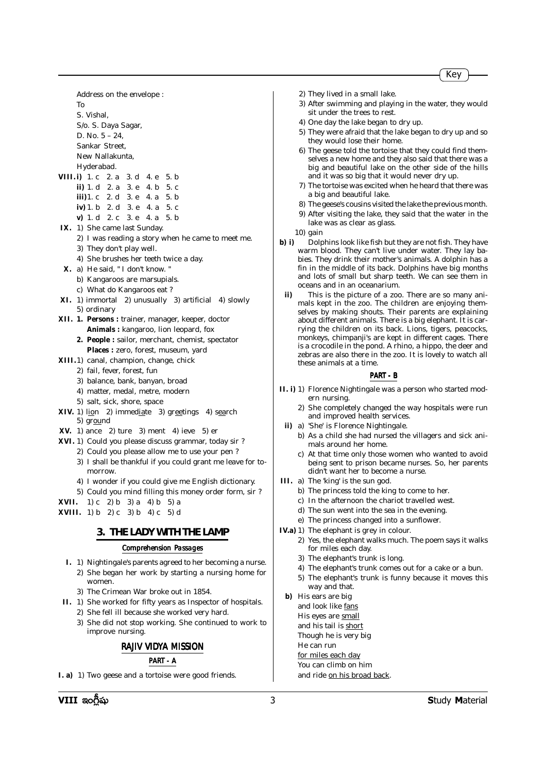Address on the envelope : To S. Vishal, S/o. S. Daya Sagar, D. No. 5 – 24,

Sankar Street, New Nallakunta, Hyderabad.

- **VIII. i)** 1. c 2. a 3. d 4. e 5. b **ii)** 1. d 2. a 3. e 4. b 5. c **iii)**1. c 2. d 3. e 4. a 5. b **iv)** 1. b 2. d 3. e 4. a 5. c **v)** 1. d 2. c 3. e 4. a 5. b
- **IX.** 1) She came last Sunday.
	- 2) I was reading a story when he came to meet me. 3) They don't play well.
	- 4) She brushes her teeth twice a day.
- **X.** a) He said, " I don't know. "
	- b) Kangaroos are marsupials.
	- c) What do Kangaroos eat ?
- **XI.** 1) immortal 2) unusually 3) artificial 4) slowly 5) ordinary
- **XII. 1. Persons :** trainer, manager, keeper, doctor **Animals :** kangaroo, lion leopard, fox
	- **2. People :** sailor, merchant, chemist, spectator **Places :** zero, forest, museum, yard
- **XIII.**1) canal, champion, change, chick
	- 2) fail, fever, forest, fun
	- 3) balance, bank, banyan, broad
	- 4) matter, medal, metre, modern
	- 5) salt, sick, shore, space
- **XIV.** 1) lion 2) immediate 3) greetings 4) search 5) ground
- **XV.** 1) ance 2) ture 3) ment 4) ieve 5) er
- **XVI.** 1) Could you please discuss grammar, today sir ?
	- 2) Could you please allow me to use your pen ?
	- 3) I shall be thankful if you could grant me leave for tomorrow.
	- 4) I wonder if you could give me English dictionary.
	- 5) Could you mind filling this money order form, sir ?
- **XVII.** 1) c 2) b 3) a 4) b 5) a
- **XVIII.** 1) b 2) c 3) b 4) c 5) d

# **3. THE LADY WITH THE LAMP**

#### *Comprehension Passages*

- **I.** 1) Nightingale's parents agreed to her becoming a nurse. 2) She began her work by starting a nursing home for women.
	- 3) The Crimean War broke out in 1854.
- **II.** 1) She worked for fifty years as Inspector of hospitals. 2) She fell ill because she worked very hard.
	- 3) She did not stop working. She continued to work to improve nursing.

# *RAJIV VIDYA MISSION*

#### *PART - A*

**I. a)** 1) Two geese and a tortoise were good friends.

- 2) They lived in a small lake.
- 3) After swimming and playing in the water, they would sit under the trees to rest.
- 4) One day the lake began to dry up.
- 5) They were afraid that the lake began to dry up and so they would lose their home.
- 6) The geese told the tortoise that they could find themselves a new home and they also said that there was a big and beautiful lake on the other side of the hills and it was so big that it would never dry up.
- 7) The tortoise was excited when he heard that there was a big and beautiful lake.
- 8) The geese's cousins visited the lake the previous month.
- 9) After visiting the lake, they said that the water in the lake was as clear as glass.
- 10) gain
- **b) i)** Dolphins look like fish but they are not fish. They have warm blood. They can't live under water. They lay babies. They drink their mother's animals. A dolphin has a fin in the middle of its back. Dolphins have big months and lots of small but sharp teeth. We can see them in oceans and in an oceanarium.
- **ii)** This is the picture of a zoo. There are so many animals kept in the zoo. The children are enjoying themselves by making shouts. Their parents are explaining about different animals. There is a big elephant. It is carrying the children on its back. Lions, tigers, peacocks, monkeys, chimpanji's are kept in different cages. There is a crocodile in the pond. A rhino, a hippo, the deer and zebras are also there in the zoo. It is lovely to watch all these animals at a time.

#### *PART - B*

- **II. i)** 1) Florence Nightingale was a person who started modern nursing.
	- 2) She completely changed the way hospitals were run and improved health services.
	- **ii)** a) 'She' is Florence Nightingale.
		- b) As a child she had nursed the villagers and sick animals around her home.
		- c) At that time only those women who wanted to avoid being sent to prison became nurses. So, her parents didn't want her to become a nurse.
- **III.** a) The 'king' is the sun god.
	- b) The princess told the king to come to her.
	- c) In the afternoon the chariot travelled west.
	- d) The sun went into the sea in the evening.
	- e) The princess changed into a sunflower.
- **IV.a)** 1) The elephant is grey in colour.
	- 2) Yes, the elephant walks much. The poem says it walks for miles each day.
	- 3) The elephant's trunk is long.
	- 4) The elephant's trunk comes out for a cake or a bun.
	- 5) The elephant's trunk is funny because it moves this way and that.
- **b)** His ears are big
	- and look like fans
	- His eyes are small
	- and his tail is short
	- Though he is very big
	- He can run
	- for miles each day
	- You can climb on him
	- and ride on his broad back.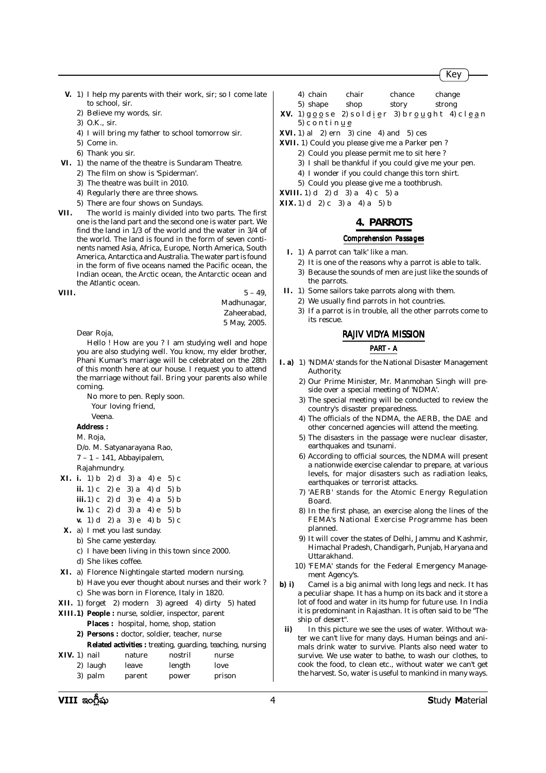- **V.** 1) I help my parents with their work, sir; so I come late to school, sir.
	- 2) Believe my words, sir.
	- 3) O.K., sir.
	- 4) I will bring my father to school tomorrow sir.
	- 5) Come in.
	- 6) Thank you sir.
- **VI.** 1) the name of the theatre is Sundaram Theatre.
	- 2) The film on show is 'Spiderman'.
	- 3) The theatre was built in 2010.
	- 4) Regularly there are three shows.
	- 5) There are four shows on Sundays.
- **VII.** The world is mainly divided into two parts. The first one is the land part and the second one is water part. We find the land in 1/3 of the world and the water in 3/4 of the world. The land is found in the form of seven continents named Asia, Africa, Europe, North America, South America, Antarctica and Australia. The water part is found in the form of five oceans named the Pacific ocean, the Indian ocean, the Arctic ocean, the Antarctic ocean and the Atlantic ocean.

**VIII.** 5 – 49,

Madhunagar, Zaheerabad, 5 May, 2005.

Dear Roja,

Hello ! How are you ? I am studying well and hope you are also studying well. You know, my elder brother, Phani Kumar's marriage will be celebrated on the 28th of this month here at our house. I request you to attend the marriage without fail. Bring your parents also while coming.

No more to pen. Reply soon. Your loving friend, Veena.

# **Address :**

M. Roja,

- D/o. M. Satyanarayana Rao,
- 7 1 141, Abbayipalem,

Rajahmundry.

| <b>XI.</b> i. 1) b 2) d 3) a 4) e 5) c |                                        |               |
|----------------------------------------|----------------------------------------|---------------|
| ii. 1) c 2) e 3) a 4) d 5) b           |                                        |               |
| <b>iii.</b> 1) c 2) d 3) e 4) a 5) b   |                                        |               |
| iv. 1) c 2) d 3) a 4) e 5) b           |                                        |               |
|                                        | $\sim 1$ $\sim$ $\sim$ $\sim$ $\sim$ 1 | $\sim$ $\sim$ |

- **v.** 1) d 2) a 3) e 4) b 5) c
- **X.** a) I met you last sunday.
- b) She came yesterday.
	- c) I have been living in this town since 2000.
- d) She likes coffee.
- **XI.** a) Florence Nightingale started modern nursing.
	- b) Have you ever thought about nurses and their work ? c) She was born in Florence, Italy in 1820.
- **XII.** 1) forget 2) modern 3) agreed 4) dirty 5) hated

#### **XIII.1) People :** nurse, soldier, inspector, parent **Places :** hospital, home, shop, station **2) Persons :** doctor, soldier, teacher, nurse **Related activities :** treating, guarding, teaching, nursing

**XIV.** 1) nail nature nostril nurse

|  | .1. 7. <i>1.)</i> 110111 | nacare | ,,,,,,,,, | 110150 |
|--|--------------------------|--------|-----------|--------|
|  | 2) laugh                 | leave  | length    | love   |
|  | 3) palm                  | parent | power     | prison |

4) chain chair chance change 5) shape shop story strong

**XV.** 1)  $g \circ g s e$  2) soldier 3) brought 4) clean 5) c o n t i n  $\underline{u}$  e

- **XVI.** 1) al 2) ern 3) cine 4) and 5) ces
- **XVII.** 1) Could you please give me a Parker pen ?
	- 2) Could you please permit me to sit here ?
	- 3) I shall be thankful if you could give me your pen.
	- 4) I wonder if you could change this torn shirt.
	- 5) Could you please give me a toothbrush.
- **XVIII.** 1) d 2) d 3) a 4) c 5) a **XIX.** 1) d 2) c 3) a 4) a 5) b

#### **4. PARROTS**

### *Comprehension Passages*

- **I.** 1) A parrot can 'talk' like a man.
	- 2) It is one of the reasons why a parrot is able to talk.
	- 3) Because the sounds of men are just like the sounds of the parrots.
- **II.** 1) Some sailors take parrots along with them.
	- 2) We usually find parrots in hot countries. 3) If a parrot is in trouble, all the other parrots come to its rescue.

#### *RAJIV VIDYA MISSION*

#### *PART - A*

- **I. a)** 1) 'NDMA' stands for the National Disaster Management Authority.
	- 2) Our Prime Minister, Mr. Manmohan Singh will preside over a special meeting of 'NDMA'.
	- 3) The special meeting will be conducted to review the country's disaster preparedness.
	- 4) The officials of the NDMA, the AERB, the DAE and other concerned agencies will attend the meeting.
	- 5) The disasters in the passage were nuclear disaster, earthquakes and tsunami.
	- 6) According to official sources, the NDMA will present a nationwide exercise calendar to prepare, at various levels, for major disasters such as radiation leaks, earthquakes or terrorist attacks.
	- 7) 'AERB' stands for the Atomic Energy Regulation Board.
	- 8) In the first phase, an exercise along the lines of the FEMA's National Exercise Programme has been planned.
	- 9) It will cover the states of Delhi, Jammu and Kashmir, Himachal Pradesh, Chandigarh, Punjab, Haryana and Uttarakhand.
	- 10) 'FEMA' stands for the Federal Emergency Management Agency's.
- **b) i)** Camel is a big animal with long legs and neck. It has a peculiar shape. It has a hump on its back and it store a lot of food and water in its hump for future use. In India it is predominant in Rajasthan. It is often said to be "The ship of desert".
- **ii)** In this picture we see the uses of water. Without water we can't live for many days. Human beings and animals drink water to survive. Plants also need water to survive. We use water to bathe, to wash our clothes, to cook the food, to clean etc., without water we can't get the harvest. So, water is useful to mankind in many ways.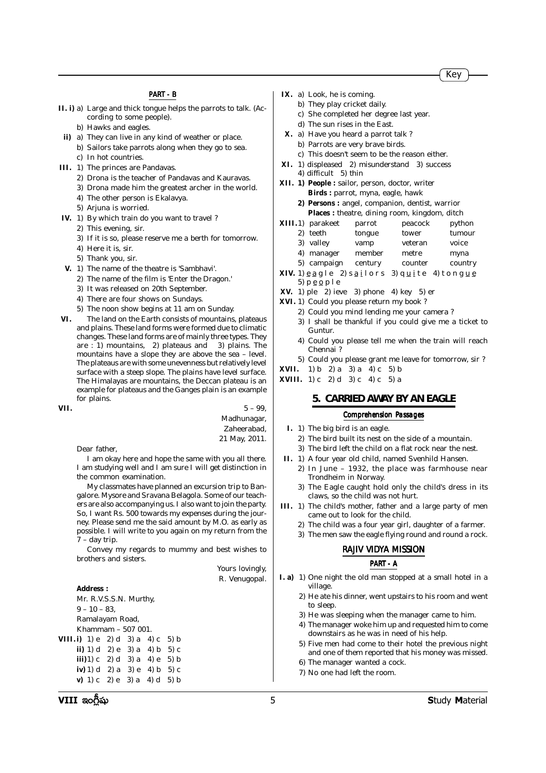#### *PART - B*

- **II. i)** a) Large and thick tongue helps the parrots to talk. (According to some people).
	- b) Hawks and eagles.
- **ii)** a) They can live in any kind of weather or place.
	- b) Sailors take parrots along when they go to sea. c) In hot countries.
- **III.** 1) The princes are Pandavas.
	- 2) Drona is the teacher of Pandavas and Kauravas.
	- 3) Drona made him the greatest archer in the world.
	- 4) The other person is Ekalavya.
	- 5) Arjuna is worried.
- **IV.** 1) By which train do you want to travel ?
	- 2) This evening, sir.
	- 3) If it is so, please reserve me a berth for tomorrow.
	- 4) Here it is, sir.
	- 5) Thank you, sir.
- **V.** 1) The name of the theatre is 'Sambhavi'.
	- 2) The name of the film is 'Enter the Dragon.'
	- 3) It was released on 20th September.
	- 4) There are four shows on Sundays.
	- 5) The noon show begins at 11 am on Sunday.
- **VI.** The land on the Earth consists of mountains, plateaus and plains. These land forms were formed due to climatic changes. These land forms are of mainly three types. They are : 1) mountains, 2) plateaus and 3) plains. The mountains have a slope they are above the sea – level. The plateaus are with some unevenness but relatively level surface with a steep slope. The plains have level surface. The Himalayas are mountains, the Deccan plateau is an example for plateaus and the Ganges plain is an example for plains.

**VII.**  $5 - 99$ , Madhunagar, Zaheerabad, 21 May, 2011.

Dear father,

I am okay here and hope the same with you all there. I am studying well and I am sure I will get distinction in the common examination.

My classmates have planned an excursion trip to Bangalore. Mysore and Sravana Belagola. Some of our teachers are also accompanying us. I also want to join the party. So, I want Rs. 500 towards my expenses during the journey. Please send me the said amount by M.O. as early as possible. I will write to you again on my return from the 7 – day trip.

Convey my regards to mummy and best wishes to brothers and sisters.

> Yours lovingly, R. Venugopal.

- **IX.** a) Look, he is coming.
	- b) They play cricket daily.
	- c) She completed her degree last year.
	- d) The sun rises in the East.
- **X.** a) Have you heard a parrot talk ? b) Parrots are very brave birds.
	-
	- c) This doesn't seem to be the reason either.
- **XI.** 1) displeased 2) misunderstand 3) success 4) difficult 5) thin
- **XII. 1) People :** sailor, person, doctor, writer **Birds :** parrot, myna, eagle, hawk
	- **2) Persons :** angel, companion, dentist, warrior **Places :** theatre, dining room, kingdom, ditch
- **XIII.**1) parakeet parrot peacock python
	- 2) teeth tongue tower tumour
	- 3) valley vamp veteran voice
	- 4) manager member metre myna
	- 5) campaign century counter country
- **XIV.** 1)  $\underline{e}$  a g l e 2) s a i l o r s 3) q  $\underline{u}$  i t e 4) t o n g  $\underline{u}$   $\underline{e}$ 5)  $p \underline{e} \underline{o} p l e$
- **XV.** 1) ple 2) ieve 3) phone 4) key 5) er
- **XVI.** 1) Could you please return my book ?
	- 2) Could you mind lending me your camera ?
	- 3) I shall be thankful if you could give me a ticket to Guntur.
	- 4) Could you please tell me when the train will reach Chennai ?
	- 5) Could you please grant me leave for tomorrow, sir ?
- **XVII.** 1) b 2) a 3) a 4) c 5) b
- **XVIII.** 1) c 2) d 3) c 4) c 5) a

#### **5. CARRIED AWAY BY AN EAGLE**

#### *Comprehension Passages*

- **I.** 1) The big bird is an eagle.
	- 2) The bird built its nest on the side of a mountain.
- 3) The bird left the child on a flat rock near the nest.
- **II.** 1) A four year old child, named Svenhild Hansen.
	- 2) In June 1932, the place was farmhouse near Trondheim in Norway.
	- 3) The Eagle caught hold only the child's dress in its claws, so the child was not hurt.
- **III.** 1) The child's mother, father and a large party of men came out to look for the child.
	- 2) The child was a four year girl, daughter of a farmer.
	- 3) The men saw the eagle flying round and round a rock.

#### *RAJIV VIDYA MISSION*

#### *PART - A*

- **I. a)** 1) One night the old man stopped at a small hotel in a village.
	- 2) He ate his dinner, went upstairs to his room and went to sleep.
	- 3) He was sleeping when the manager came to him.
	- 4) The manager woke him up and requested him to come downstairs as he was in need of his help.
	- 5) Five men had come to their hotel the previous night and one of them reported that his money was missed.
	- 6) The manager wanted a cock.
	- 7) No one had left the room.

**Address :**

 $9 - 10 - 83$ . Ramalayam Road, Khammam – 507 001. **VIII. i)** 1) e 2) d 3) a 4) c 5) b **ii)** 1) d 2) e 3) a 4) b 5) c **iii**) $1) c 2 d 3 a 4 e 5 b$ **iv)** 1) d 2) a 3) e 4) b 5) c **v)** 1) c 2) e 3) a 4) d 5) b

Mr. R.V.S.S.N. Murthy,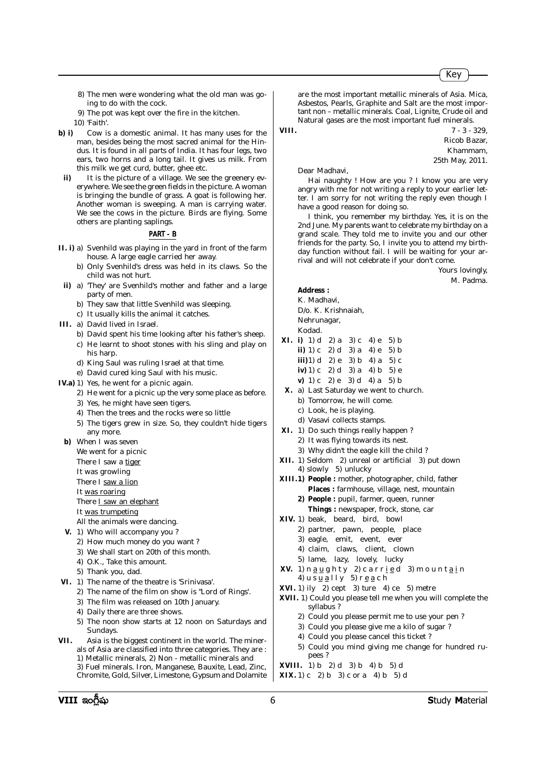- 8) The men were wondering what the old man was going to do with the cock.
- 9) The pot was kept over the fire in the kitchen.
- 10) 'Faith'.
- **b) i)** Cow is a domestic animal. It has many uses for the man, besides being the most sacred animal for the Hindus. It is found in all parts of India. It has four legs, two ears, two horns and a long tail. It gives us milk. From this milk we get curd, butter, ghee etc.
- **ii)** It is the picture of a village. We see the greenery everywhere. We see the green fields in the picture. A woman is bringing the bundle of grass. A goat is following her. Another woman is sweeping. A man is carrying water. We see the cows in the picture. Birds are flying. Some others are planting saplings.

#### *PART - B*

- **II. i)** a) Svenhild was playing in the yard in front of the farm house. A large eagle carried her away.
	- b) Only Svenhild's dress was held in its claws. So the child was not hurt.
	- **ii)** a) 'They' are Svenhild's mother and father and a large party of men.
		- b) They saw that little Svenhild was sleeping.
		- c) It usually kills the animal it catches.
- **III.** a) David lived in Israel.
	- b) David spent his time looking after his father's sheep. c) He learnt to shoot stones with his sling and play on his harp.
	- d) King Saul was ruling Israel at that time.
	- e) David cured king Saul with his music.
- **IV.a)** 1) Yes, he went for a picnic again.
	- 2) He went for a picnic up the very some place as before.
	- 3) Yes, he might have seen tigers.
	- 4) Then the trees and the rocks were so little
	- 5) The tigers grew in size. So, they couldn't hide tigers any more.
	- **b)** When I was seven

We went for a picnic

There I saw a tiger

It was growling

- There I saw a lion
- It was roaring
- There I saw an elephant
- It was trumpeting
- All the animals were dancing.
- **V.** 1) Who will accompany you ?
	- 2) How much money do you want ?
	- 3) We shall start on 20th of this month.
	- 4) O.K., Take this amount.
	- 5) Thank you, dad.
- **VI.** 1) The name of the theatre is 'Srinivasa'.
	- 2) The name of the film on show is "Lord of Rings'.
	- 3) The film was released on 10th January.
	- 4) Daily there are three shows.
	- 5) The noon show starts at 12 noon on Saturdays and Sundays.
- **VII.** Asia is the biggest continent in the world. The minerals of Asia are classified into three categories. They are : 1) Metallic minerals, 2) Non - metallic minerals and 3) Fuel minerals. Iron, Manganese, Bauxite, Lead, Zinc, Chromite, Gold, Silver, Limestone, Gypsum and Dolamite

are the most important metallic minerals of Asia. Mica, Asbestos, Pearls, Graphite and Salt are the most important non – metallic minerals. Coal, Lignite, Crude oil and Natural gases are the most important fuel minerals.

**VIII.**  $7 - 3 - 329$ Ricob Bazar,

> Khammam, 25th May, 2011.

Dear Madhavi,

Hai naughty ! How are you ? I know you are very angry with me for not writing a reply to your earlier letter. I am sorry for not writing the reply even though I have a good reason for doing so.

I think, you remember my birthday. Yes, it is on the 2nd June. My parents want to celebrate my birthday on a grand scale. They told me to invite you and our other friends for the party. So, I invite you to attend my birthday function without fail. I will be waiting for your arrival and will not celebrate if your don't come.

> Yours lovingly, M. Padma.

- **Address :**
- K. Madhavi, D/o. K. Krishnaiah, Nehrunagar,

Kodad.

- **XI. i)** 1) d 2) a 3) c 4) e 5) b **ii)** 1) c 2) d 3) a 4) e 5) b **iii**) $1)$  d 2) e 3) b 4) a 5) c **iv)** 1) c 2) d 3) a 4) b 5) e
	- **v)** 1) c 2) e 3) d 4) a 5) b
- **X.** a) Last Saturday we went to church.
	- b) Tomorrow, he will come.
	- c) Look, he is playing.
	- d) Vasavi collects stamps.
- **XI.** 1) Do such things really happen ?
	- 2) It was flying towards its nest.
	- 3) Why didn't the eagle kill the child ?
- **XII.** 1) Seldom 2) unreal or artificial 3) put down 4) slowly 5) unlucky
- **XIII.1) People :** mother, photographer, child, father **Places :** farmhouse, village, nest, mountain
	- **2) People :** pupil, farmer, queen, runner **Things :** newspaper, frock, stone, car
- **XIV.** 1) beak, beard, bird, bowl
	- 2) partner, pawn, people, place
	- 3) eagle, emit, event, ever
	- 4) claim, claws, client, clown
	- 5) lame, lazy, lovely, lucky
- **XV.** 1) n a u g h t y 2) c a r r i e d 3) m o u n t a i n 4) us<u>ua</u>lly 5) r<u>ea</u>ch
- **XVI.** 1) ily 2) cept 3) ture 4) ce 5) metre
- **XVII.** 1) Could you please tell me when you will complete the syllabus ?
	- 2) Could you please permit me to use your pen ?
	- 3) Could you please give me a kilo of sugar ?
	- 4) Could you please cancel this ticket ?
	- 5) Could you mind giving me change for hundred rupees ?
- **XVIII.** 1) b 2) d 3) b 4) b 5) d
- **XIX.** 1) c 2) b 3) c or a 4) b 5) d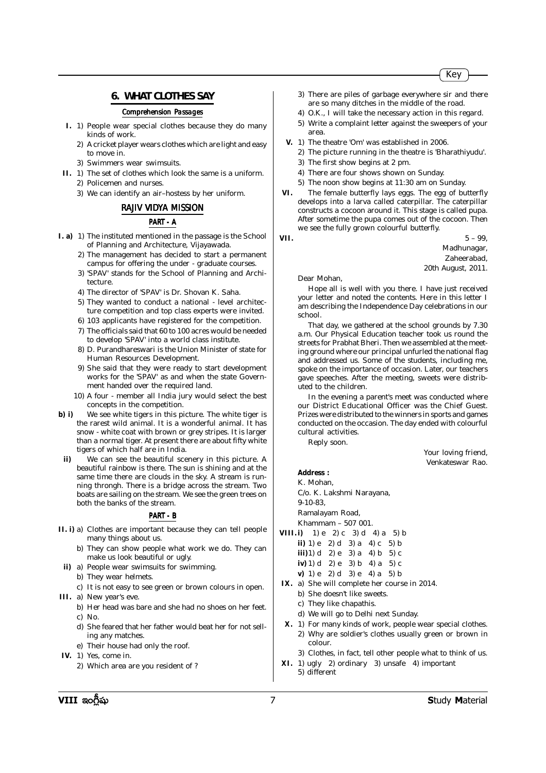#### **6. WHAT CLOTHES SAY**

## *Comprehension Passages*

- **I.** 1) People wear special clothes because they do many kinds of work.
	- 2) A cricket player wears clothes which are light and easy to move in.
	- 3) Swimmers wear swimsuits.
- **II.** 1) The set of clothes which look the same is a uniform.
	- 2) Policemen and nurses.
	- 3) We can identify an air–hostess by her uniform.

# *RAJIV VIDYA MISSION*

#### *PART - A*

- **I. a)** 1) The instituted mentioned in the passage is the School of Planning and Architecture, Vijayawada.
	- 2) The management has decided to start a permanent campus for offering the under - graduate courses.
	- 3) 'SPAV' stands for the School of Planning and Architecture.
	- 4) The director of 'SPAV' is Dr. Shovan K. Saha.
	- 5) They wanted to conduct a national level architecture competition and top class experts were invited.
	- 6) 103 applicants have registered for the competition.
	- 7) The officials said that 60 to 100 acres would be needed to develop 'SPAV' into a world class institute.
	- 8) D. Purandhareswari is the Union Minister of state for Human Resources Development.
	- 9) She said that they were ready to start development works for the 'SPAV' as and when the state Government handed over the required land.
	- 10) A four member all India jury would select the best concepts in the competition.
- **b) i)** We see white tigers in this picture. The white tiger is the rarest wild animal. It is a wonderful animal. It has snow - white coat with brown or grey stripes. It is larger than a normal tiger. At present there are about fifty white tigers of which half are in India.
- **ii)** We can see the beautiful scenery in this picture. A beautiful rainbow is there. The sun is shining and at the same time there are clouds in the sky. A stream is running throngh. There is a bridge across the stream. Two boats are sailing on the stream. We see the green trees on both the banks of the stream.

#### *PART - B*

- **II. i)** a) Clothes are important because they can tell people many things about us.
	- b) They can show people what work we do. They can make us look beautiful or ugly.
	- **ii)** a) People wear swimsuits for swimming.
	- b) They wear helmets.
		- c) It is not easy to see green or brown colours in open.
- **III.** a) New year's eve.
	- b) Her head was bare and she had no shoes on her feet. c) No.
	- d) She feared that her father would beat her for not selling any matches.
	- e) Their house had only the roof.
- **IV.** 1) Yes, come in.
	- 2) Which area are you resident of ?

3) There are piles of garbage everywhere sir and there are so many ditches in the middle of the road.

- 4) O.K., I will take the necessary action in this regard.
- 5) Write a complaint letter against the sweepers of your area.
- **V.** 1) The theatre 'Om' was established in 2006.
	- 2) The picture running in the theatre is 'Bharathiyudu'.
	- 3) The first show begins at 2 pm.
	- 4) There are four shows shown on Sunday.
	- 5) The noon show begins at 11:30 am on Sunday.
- **VI.** The female butterfly lays eggs. The egg of butterfly develops into a larva called caterpillar. The caterpillar constructs a cocoon around it. This stage is called pupa. After sometime the pupa comes out of the cocoon. Then we see the fully grown colourful butterfly.
- 

**VII.**  $5 - 99$ ,

Madhunagar,

Zaheerabad,

20th August, 2011.

Dear Mohan,

Hope all is well with you there. I have just received your letter and noted the contents. Here in this letter I am describing the Independence Day celebrations in our school.

That day, we gathered at the school grounds by 7.30 a.m. Our Physical Education teacher took us round the streets for Prabhat Bheri. Then we assembled at the meeting ground where our principal unfurled the national flag and addressed us. Some of the students, including me, spoke on the importance of occasion. Later, our teachers gave speeches. After the meeting, sweets were distributed to the children.

In the evening a parent's meet was conducted where our District Educational Officer was the Chief Guest. Prizes were distributed to the winners in sports and games conducted on the occasion. The day ended with colourful cultural activities.

Reply soon.

Your loving friend, Venkateswar Rao.

#### **Address :**

K. Mohan, C/o. K. Lakshmi Narayana, 9-10-83, Ramalayam Road, Khammam – 507 001. **VIII. i)** 1) e 2) c 3) d 4) a 5) b

- **ii)** 1) e 2) d 3) a 4) c 5) b
- **iii**) $1)$  d 2) e 3) a 4) b 5) c
- **iv)** 1) d 2) e 3) b 4) a 5) c **v)** 1) e 2) d 3) e 4) a 5) b
- **IX.** a) She will complete her course in 2014.
	- b) She doesn't like sweets.
		- c) They like chapathis.
	- d) We will go to Delhi next Sunday.
- **X.** 1) For many kinds of work, people wear special clothes. 2) Why are soldier's clothes usually green or brown in colour.
	- 3) Clothes, in fact, tell other people what to think of us.
- **XI.** 1) ugly 2) ordinary 3) unsafe 4) important 5) different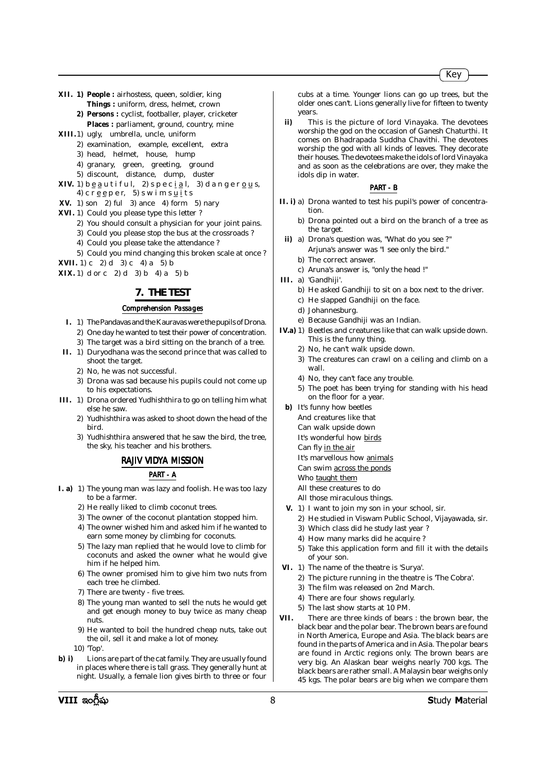- **XII. 1) People :** airhostess, queen, soldier, king **Things :** uniform, dress, helmet, crown
	- **2) Persons :** cyclist, footballer, player, cricketer Places : parliament, ground, country, mine
- **XIII.**1) ugly, umbrella, uncle, uniform
	- 2) examination, example, excellent, extra
	- 3) head, helmet, house, hump
	- 4) granary, green, greeting, ground
	- 5) discount, distance, dump, duster
- **XIV.** 1)  $b \underline{e} a u t$  if  $u$  l, 2)  $s$  p  $e$  c  $\underline{i} a$  l, 3) d a n g  $e$  r  $\underline{o} u s$ , 4) c r e e p e r, 5) s w i m s  $u$  i t s
- **XV.** 1) son 2) ful 3) ance 4) form 5) nary
- **XVI.** 1) Could you please type this letter ?
	- 2) You should consult a physician for your joint pains.
	- 3) Could you please stop the bus at the crossroads ?
	- 4) Could you please take the attendance ?
	- 5) Could you mind changing this broken scale at once ?
- **XVII.** 1) c 2) d 3) c 4) a 5) b
- **XIX.** 1) d or c 2) d 3) b 4) a 5) b

#### **7. THE TEST**

#### *Comprehension Passages*

- **I.** 1) The Pandavas and the Kauravas were the pupils of Drona. 2) One day he wanted to test their power of concentration.
- 3) The target was a bird sitting on the branch of a tree. **II.** 1) Duryodhana was the second prince that was called to
	- shoot the target.
	- 2) No, he was not successful.
	- 3) Drona was sad because his pupils could not come up to his expectations.
- **III.** 1) Drona ordered Yudhishthira to go on telling him what else he saw.
	- 2) Yudhishthira was asked to shoot down the head of the bird.
	- 3) Yudhishthira answered that he saw the bird, the tree, the sky, his teacher and his brothers.

#### *RAJIV VIDYA MISSION*

#### *PART - A*

- **I. a)** 1) The young man was lazy and foolish. He was too lazy to be a farmer.
	- 2) He really liked to climb coconut trees.
	- 3) The owner of the coconut plantation stopped him.
	- 4) The owner wished him and asked him if he wanted to earn some money by climbing for coconuts.
	- 5) The lazy man replied that he would love to climb for coconuts and asked the owner what he would give him if he helped him.
	- 6) The owner promised him to give him two nuts from each tree he climbed.
	- 7) There are twenty five trees.
	- 8) The young man wanted to sell the nuts he would get and get enough money to buy twice as many cheap nuts.
	- 9) He wanted to boil the hundred cheap nuts, take out the oil, sell it and make a lot of money.
	- 10) 'Top'.
- **b) i)** Lions are part of the cat family. They are usually found in places where there is tall grass. They generally hunt at night. Usually, a female lion gives birth to three or four

cubs at a time. Younger lions can go up trees, but the older ones can't. Lions generally live for fifteen to twenty years.

**ii)** This is the picture of lord Vinayaka. The devotees worship the god on the occasion of Ganesh Chaturthi. It comes on Bhadrapada Suddha Chavithi. The devotees worship the god with all kinds of leaves. They decorate their houses. The devotees make the idols of lord Vinayaka and as soon as the celebrations are over, they make the idols dip in water.

#### *PART - B*

- **II. i)** a) Drona wanted to test his pupil's power of concentration.
	- b) Drona pointed out a bird on the branch of a tree as the target.
	- **ii)** a) Drona's question was, "What do you see ?" Arjuna's answer was "I see only the bird."
		- b) The correct answer.
		- c) Aruna's answer is, "only the head !"
- **III.** a) 'Gandhiji'.
	- b) He asked Gandhiji to sit on a box next to the driver.
	- c) He slapped Gandhiji on the face.
	- d) Johannesburg.
	- e) Because Gandhiji was an Indian.
- **IV.a)** 1) Beetles and creatures like that can walk upside down. This is the funny thing.
	- 2) No, he can't walk upside down.
	- 3) The creatures can crawl on a ceiling and climb on a wall.
	- 4) No, they can't face any trouble.
	- 5) The poet has been trying for standing with his head on the floor for a year.
	- **b)** It's funny how beetles
		- And creatures like that
			- Can walk upside down
			- It's wonderful how birds
		- Can fly in the air It's marvellous how animals
		- Can swim across the ponds
		-
		- Who taught them
		- All these creatures to do All those miraculous things.
	- **V.** 1) I want to join my son in your school, sir.
		- 2) He studied in Viswam Public School, Vijayawada, sir.
		- 3) Which class did he study last year ?
		- 4) How many marks did he acquire ?
		- 5) Take this application form and fill it with the details of your son.
- **VI.** 1) The name of the theatre is 'Surya'.
	- 2) The picture running in the theatre is 'The Cobra'.
	- 3) The film was released on 2nd March.
	- 4) There are four shows regularly.
	- 5) The last show starts at 10 PM.
- **VII.** There are three kinds of bears : the brown bear, the black bear and the polar bear. The brown bears are found in North America, Europe and Asia. The black bears are found in the parts of America and in Asia. The polar bears are found in Arctic regions only. The brown bears are very big. An Alaskan bear weighs nearly 700 kgs. The black bears are rather small. A Malaysin bear weighs only 45 kgs. The polar bears are big when we compare them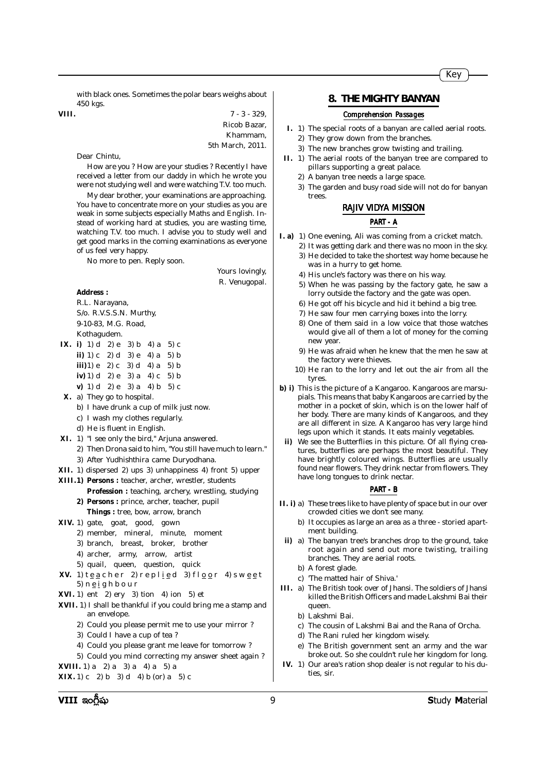with black ones. Sometimes the polar bears weighs about 450 kgs.

**VIII.**  $7 - 3 - 329$ Ricob Bazar, Khammam, 5th March, 2011.

Dear Chintu,

How are you ? How are your studies ? Recently I have received a letter from our daddy in which he wrote you were not studying well and were watching T.V. too much.

My dear brother, your examinations are approaching. You have to concentrate more on your studies as you are weak in some subjects especially Maths and English. Instead of working hard at studies, you are wasting time, watching T.V. too much. I advise you to study well and get good marks in the coming examinations as everyone of us feel very happy.

No more to pen. Reply soon.

Yours lovingly, R. Venugopal.

#### **Address :**

R.L. Narayana, S/o. R.V.S.S.N. Murthy, 9-10-83, M.G. Road, Kothagudem.

- **IX. i)** 1) d 2) e 3) b 4) a 5) c **ii)** 1) c 2) d 3) e 4) a 5) b **iii**) $1$ ) e 2) c 3) d 4) a 5) b **iv)** 1) d 2) e 3) a 4) c 5) b
	- **v)** 1) d 2) e 3) a 4) b 5) c
- **X.** a) They go to hospital.
	- b) I have drunk a cup of milk just now.
	- c) I wash my clothes regularly.
	- d) He is fluent in English.
- **XI.** 1) "I see only the bird," Arjuna answered.
- 2) Then Drona said to him, "You still have much to learn."
	- 3) After Yudhishthira came Duryodhana.
- **XII.** 1) dispersed 2) ups 3) unhappiness 4) front 5) upper
- **XIII.1) Persons :** teacher, archer, wrestler, students
	- **Profession :** teaching, archery, wrestling, studying **2) Persons :** prince, archer, teacher, pupil
	- **Things :** tree, bow, arrow, branch
- **XIV.** 1) gate, goat, good, gown
	- 2) member, mineral, minute, moment
	- 3) branch, breast, broker, brother
	- 4) archer, army, arrow, artist
- 5) quail, queen, question, quick **XV.** 1)  $t \underline{e} a c h e r$  2)  $r e p l \underline{i} e d$  3)  $f l \underline{o} o r$  4)  $s w \underline{e} e t$
- 5) n e i g h b o u r
- **XVI.** 1) ent 2) ery 3) tion 4) ion 5) et
- **XVII.** 1) I shall be thankful if you could bring me a stamp and an envelope.
	- 2) Could you please permit me to use your mirror ?
	- 3) Could I have a cup of tea ?
	- 4) Could you please grant me leave for tomorrow ?
	- 5) Could you mind correcting my answer sheet again ?
- **XVIII.** 1) a 2) a 3) a 4) a 5) a

**XIX.** 1) c 2) b 3) d 4) b (or) a 5) c

### **8. THE MIGHTY BANYAN**

#### *Comprehension Passages*

- **I.** 1) The special roots of a banyan are called aerial roots. 2) They grow down from the branches.
	- 3) The new branches grow twisting and trailing.
- **II.** 1) The aerial roots of the banyan tree are compared to pillars supporting a great palace.
	- 2) A banyan tree needs a large space.
	- 3) The garden and busy road side will not do for banyan trees.

#### *RAJIV VIDYA MISSION*

#### *PART - A*

- **I. a)** 1) One evening, Ali was coming from a cricket match.
	- 2) It was getting dark and there was no moon in the sky. 3) He decided to take the shortest way home because he was in a hurry to get home.
	- 4) His uncle's factory was there on his way.
	- 5) When he was passing by the factory gate, he saw a lorry outside the factory and the gate was open.
	- 6) He got off his bicycle and hid it behind a big tree.
	- 7) He saw four men carrying boxes into the lorry.
	- 8) One of them said in a low voice that those watches would give all of them a lot of money for the coming new year.
	- 9) He was afraid when he knew that the men he saw at the factory were thieves.
	- 10) He ran to the lorry and let out the air from all the tyres.
- **b) i)** This is the picture of a Kangaroo. Kangaroos are marsupials. This means that baby Kangaroos are carried by the mother in a pocket of skin, which is on the lower half of her body. There are many kinds of Kangaroos, and they are all different in size. A Kangaroo has very large hind legs upon which it stands. It eats mainly vegetables.
- **ii)** We see the Butterflies in this picture. Of all flying creatures, butterflies are perhaps the most beautiful. They have brightly coloured wings. Butterflies are usually found near flowers. They drink nectar from flowers. They have long tongues to drink nectar.

#### *PART - B*

- **II. i)** a) These trees like to have plenty of space but in our over crowded cities we don't see many.
	- b) It occupies as large an area as a three storied apartment building.
	- **ii)** a) The banyan tree's branches drop to the ground, take root again and send out more twisting, trailing branches. They are aerial roots.
		- b) A forest glade.
	- c) 'The matted hair of Shiva.'
- **III.** a) The British took over of Jhansi. The soldiers of Jhansi killed the British Officers and made Lakshmi Bai their queen.
	- b) Lakshmi Bai.
	- c) The cousin of Lakshmi Bai and the Rana of Orcha.
	- d) The Rani ruled her kingdom wisely.
	- e) The British government sent an army and the war broke out. So she couldn't rule her kingdom for long.
- **IV.** 1) Our area's ration shop dealer is not regular to his duties, sir.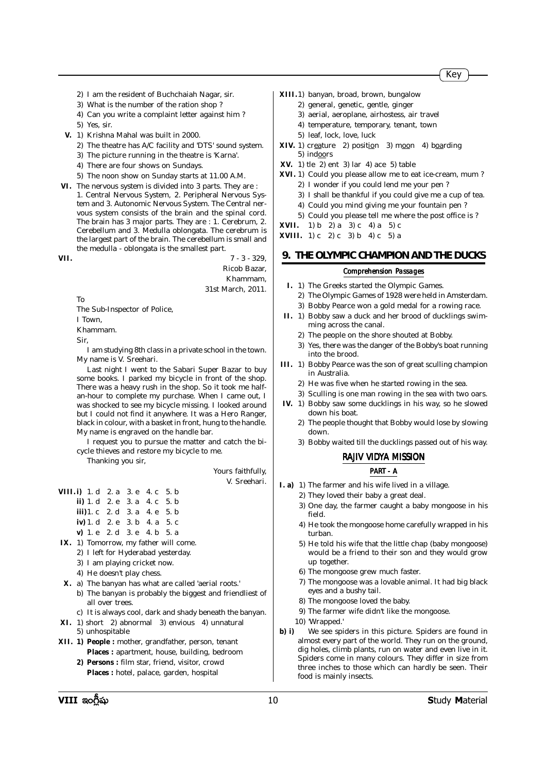- 2) I am the resident of Buchchaiah Nagar, sir.
- 3) What is the number of the ration shop ?
- 4) Can you write a complaint letter against him ?
- 5) Yes, sir.
- **V.** 1) Krishna Mahal was built in 2000.
	- 2) The theatre has A/C facility and 'DTS' sound system.
	- 3) The picture running in the theatre is 'Karna'.
	- 4) There are four shows on Sundays.
	- 5) The noon show on Sunday starts at 11.00 A.M.
- **VI.** The nervous system is divided into 3 parts. They are : 1. Central Nervous System, 2. Peripheral Nervous System and 3. Autonomic Nervous System. The Central nervous system consists of the brain and the spinal cord. The brain has 3 major parts. They are : 1. Cerebrum, 2. Cerebellum and 3. Medulla oblongata. The cerebrum is the largest part of the brain. The cerebellum is small and the medulla - oblongata is the smallest part.

**VII.** 7 - 3 - 329, Ricob Bazar, Khammam, 31st March, 2011.

To

The Sub-Inspector of Police,

I Town,

Khammam.

Sir,

I am studying 8th class in a private school in the town. My name is V. Sreehari.

Last night I went to the Sabari Super Bazar to buy some books. I parked my bicycle in front of the shop. There was a heavy rush in the shop. So it took me halfan-hour to complete my purchase. When I came out, I was shocked to see my bicycle missing. I looked around but I could not find it anywhere. It was a Hero Ranger, black in colour, with a basket in front, hung to the handle. My name is engraved on the handle bar.

I request you to pursue the matter and catch the bicycle thieves and restore my bicycle to me.

Thanking you sir,

Yours faithfully, V. Sreehari.

| <b>VIII.i)</b> 1. d 2. a 3. e 4. c 5. b |  |  |
|-----------------------------------------|--|--|
| ii) 1. d $2. e$ 3. a 4. c 5. b          |  |  |
| <b>iii</b> )1. c 2. d 3. a 4. e 5. b    |  |  |
| $iv)$ 1. d 2. e 3. b 4. a 5. c          |  |  |
| v) 1. e 2. d 3. e 4. b 5. a             |  |  |

- **IX.** 1) Tomorrow, my father will come.
	- 2) I left for Hyderabad yesterday.
	- 3) I am playing cricket now.
	- 4) He doesn't play chess.
- **X.** a) The banyan has what are called 'aerial roots.'
	- b) The banyan is probably the biggest and friendliest of all over trees.
	- c) It is always cool, dark and shady beneath the banyan.
- **XI.** 1) short 2) abnormal 3) envious 4) unnatural 5) unhospitable
- **XII. 1) People :** mother, grandfather, person, tenant **Places :** apartment, house, building, bedroom
	- **2) Persons :** film star, friend, visitor, crowd **Places :** hotel, palace, garden, hospital
- **XIII.**1) banyan, broad, brown, bungalow
	- 2) general, genetic, gentle, ginger
		- 3) aerial, aeroplane, airhostess, air travel
		- 4) temperature, temporary, tenant, town
		- 5) leaf, lock, love, luck
- XIV. 1) creature 2) position 3) moon 4) boarding 5) indoors
- **XV.** 1) tle 2) ent 3) lar 4) ace 5) table
- **XVI.** 1) Could you please allow me to eat ice-cream, mum ? 2) I wonder if you could lend me your pen ?
	- 3) I shall be thankful if you could give me a cup of tea.
	- 4) Could you mind giving me your fountain pen ?
	- 5) Could you please tell me where the post office is ?

**XVII.** 1) b 2) a 3) c 4) a 5) c

**XVIII.** 1) c 2) c 3) b 4) c 5) a

## **9. THE OLYMPIC CHAMPION AND THE DUCKS**

#### *Comprehension Passages*

- **I.** 1) The Greeks started the Olympic Games.
- 2) The Olympic Games of 1928 were held in Amsterdam. 3) Bobby Pearce won a gold medal for a rowing race.
- **II.** 1) Bobby saw a duck and her brood of ducklings swimming across the canal.
	- 2) The people on the shore shouted at Bobby.
	- 3) Yes, there was the danger of the Bobby's boat running into the brood.
- **III.** 1) Bobby Pearce was the son of great sculling champion in Australia.
	- 2) He was five when he started rowing in the sea.
	- 3) Sculling is one man rowing in the sea with two oars.
- **IV.** 1) Bobby saw some ducklings in his way, so he slowed down his boat.
	- 2) The people thought that Bobby would lose by slowing down.
	- 3) Bobby waited till the ducklings passed out of his way.

#### *RAJIV VIDYA MISSION*

### *PART - A*

- **I. a)** 1) The farmer and his wife lived in a village.
	- 2) They loved their baby a great deal.
	- 3) One day, the farmer caught a baby mongoose in his field.
	- 4) He took the mongoose home carefully wrapped in his turban.
	- 5) He told his wife that the little chap (baby mongoose) would be a friend to their son and they would grow up together.
	- 6) The mongoose grew much faster.
	- 7) The mongoose was a lovable animal. It had big black eyes and a bushy tail.
	- 8) The mongoose loved the baby.
	- 9) The farmer wife didn't like the mongoose.
	- 10) 'Wrapped.'
- **b) i)** We see spiders in this picture. Spiders are found in almost every part of the world. They run on the ground, dig holes, climb plants, run on water and even live in it. Spiders come in many colours. They differ in size from three inches to those which can hardly be seen. Their food is mainly insects.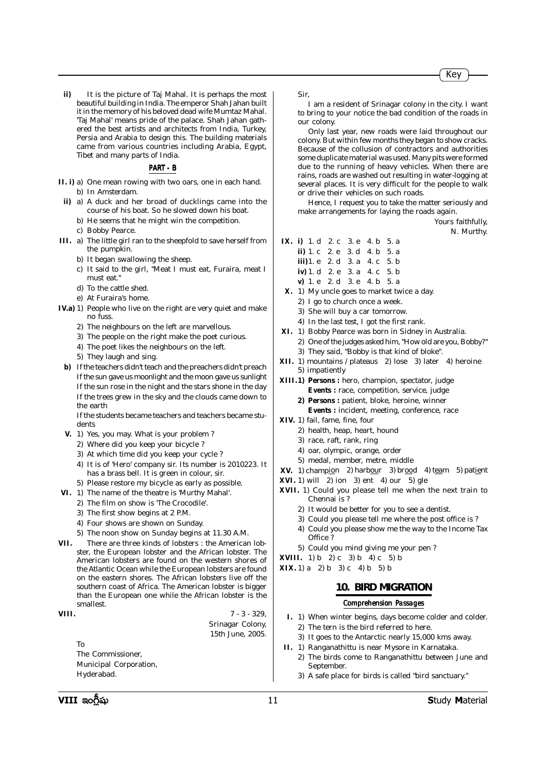Yours faithfully, N. Murthy.

I am a resident of Srinagar colony in the city. I want to bring to your notice the bad condition of the roads in

Only last year, new roads were laid throughout our colony. But within few months they began to show cracks. Because of the collusion of contractors and authorities some duplicate material was used. Many pits were formed due to the running of heavy vehicles. When there are rains, roads are washed out resulting in water-logging at several places. It is very difficult for the people to walk

Hence, I request you to take the matter seriously and

2) One of the judges asked him, "How old are you, Bobby?"

3) They said, "Bobby is that kind of bloke". **XII.** 1) mountains / plateaus 2) lose 3) later 4) heroine

**XIII.1) Persons :** hero, champion, spectator, judge **Events :** race, competition, service, judge **2) Persons :** patient, bloke, heroine, winner **Events :** incident, meeting, conference, race

or drive their vehicles on such roads.

**IX. i)** 1. d 2. c 3. e 4. b 5. a **ii)** 1. c 2. e 3. d 4. b 5. a **iii)**1. e 2. d 3. a 4. c 5. b **iv)** 1. d 2. e 3. a 4. c 5. b **v)** 1. e 2. d 3. e 4. b 5. a **X.** 1) My uncle goes to market twice a day. 2) I go to church once a week. 3) She will buy a car tomorrow. 4) In the last test, I got the first rank. **XI.** 1) Bobby Pearce was born in Sidney in Australia.

make arrangements for laying the roads again.

**ii)** It is the picture of Taj Mahal. It is perhaps the most beautiful building in India. The emperor Shah Jahan built it in the memory of his beloved dead wife Mumtaz Mahal. 'Taj Mahal' means pride of the palace. Shah Jahan gathered the best artists and architects from India, Turkey, Persia and Arabia to design this. The building materials came from various countries including Arabia, Egypt, Tibet and many parts of India.

#### *PART - B*

- **II. i)** a) One mean rowing with two oars, one in each hand. b) In Amsterdam.
- **ii)** a) A duck and her broad of ducklings came into the course of his boat. So he slowed down his boat.
	- b) He seems that he might win the competition.
	- c) Bobby Pearce.
- **III.** a) The little girl ran to the sheepfold to save herself from the pumpkin.
	- b) It began swallowing the sheep.
	- c) It said to the girl, "Meat I must eat, Furaira, meat I must eat."
	- d) To the cattle shed.
	- e) At Furaira's home.
- **IV.a)** 1) People who live on the right are very quiet and make no fuss.
	- 2) The neighbours on the left are marvellous.
	- 3) The people on the right make the poet curious.
	- 4) The poet likes the neighbours on the left.
	- 5) They laugh and sing.
	- **b)** If the teachers didn't teach and the preachers didn't preach If the sun gave us moonlight and the moon gave us sunlight If the sun rose in the night and the stars shone in the day If the trees grew in the sky and the clouds came down to the earth

If the students became teachers and teachers became students

- **V.** 1) Yes, you may. What is your problem ?
- 2) Where did you keep your bicycle ?
	- 3) At which time did you keep your cycle ?
	- 4) It is of 'Hero' company sir. Its number is 2010223. It has a brass bell. It is green in colour, sir.
- 5) Please restore my bicycle as early as possible.
- **VI.** 1) The name of the theatre is 'Murthy Mahal'.
	- 2) The film on show is 'The Crocodile'.
	- 3) The first show begins at 2 P.M.
	- 4) Four shows are shown on Sunday.
	- 5) The noon show on Sunday begins at 11.30 A.M.
- **VII.** There are three kinds of lobsters : the American lobster, the European lobster and the African lobster. The American lobsters are found on the western shores of the Atlantic Ocean while the European lobsters are found on the eastern shores. The African lobsters live off the southern coast of Africa. The American lobster is bigger than the European one while the African lobster is the smallest.

#### **VIII.**  $7 - 3 - 329$ .

Srinagar Colony, 15th June, 2005.

**XVIII.** 1) b 2) c 3) b 4) c 5) b **XIX.** 1) a 2) b 3) c 4) b 5) b

Office ?

Chennai is ?

5) impatiently

**XIV.** 1) fail, fame, fine, four

2) health, heap, heart, hound 3) race, raft, rank, ring 4) oar, olympic, orange, order 5) medal, member, metre, middle

**XVI.** 1) will 2) ion 3) ent 4) our 5) gle

Sir,

our colony.

#### **10. BIRD MIGRATION**

**XV.** 1) champion 2) harbour 3) brood 4) team 5) patient

**XVII.** 1) Could you please tell me when the next train to

2) It would be better for you to see a dentist. 3) Could you please tell me where the post office is ? 4) Could you please show me the way to the Income Tax

5) Could you mind giving me your pen ?

#### *Comprehension Passages*

- **I.** 1) When winter begins, days become colder and colder. 2) The tern is the bird referred to here.
	- 3) It goes to the Antarctic nearly 15,000 kms away.
- **II.** 1) Ranganathittu is near Mysore in Karnataka.
	- 2) The birds come to Ranganathittu between June and September.
	- 3) A safe place for birds is called "bird sanctuary."

To

The Commissioner, Municipal Corporation,

Hyderabad.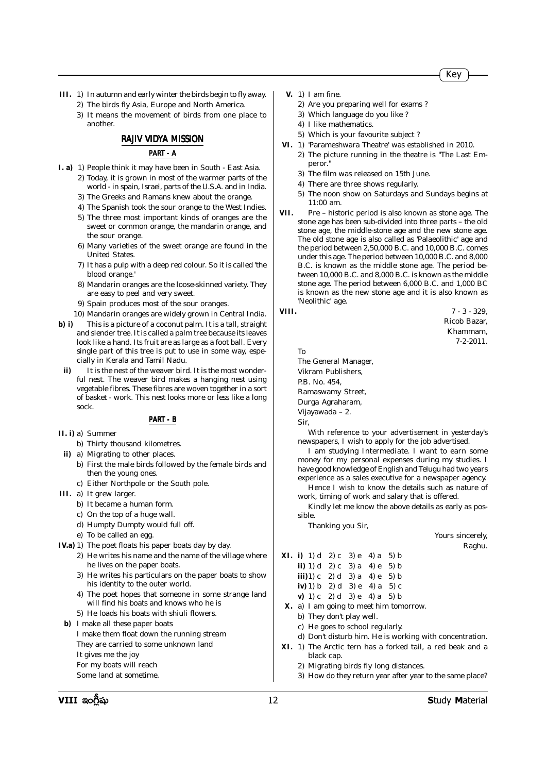- **III.** 1) In autumn and early winter the birds begin to fly away. 2) The birds fly Asia, Europe and North America.
	- 3) It means the movement of birds from one place to another.

### *RAJIV VIDYA MISSION*

## *PART - A*

- **I. a)** 1) People think it may have been in South East Asia. 2) Today, it is grown in most of the warmer parts of the
	- world in spain, Israel, parts of the U.S.A. and in India. 3) The Greeks and Ramans knew about the orange.
	-
	- 4) The Spanish took the sour orange to the West Indies.
	- 5) The three most important kinds of oranges are the sweet or common orange, the mandarin orange, and the sour orange.
	- 6) Many varieties of the sweet orange are found in the United States.
	- 7) It has a pulp with a deep red colour. So it is called 'the blood orange.'
	- 8) Mandarin oranges are the loose-skinned variety. They are easy to peel and very sweet.
	- 9) Spain produces most of the sour oranges.
	- 10) Mandarin oranges are widely grown in Central India.
- **b) i)** This is a picture of a coconut palm. It is a tall, straight and slender tree. It is called a palm tree because its leaves look like a hand. Its fruit are as large as a foot ball. Every single part of this tree is put to use in some way, especially in Kerala and Tamil Nadu.
- **ii)** It is the nest of the weaver bird. It is the most wonderful nest. The weaver bird makes a hanging nest using vegetable fibres. These fibres are woven together in a sort of basket - work. This nest looks more or less like a long sock.

#### *PART - B*

**II. i)** a) Summer

- b) Thirty thousand kilometres.
- **ii)** a) Migrating to other places.
	- b) First the male birds followed by the female birds and then the young ones.
	- c) Either Northpole or the South pole.
- **III.** a) It grew larger.
	- b) It became a human form.
	- c) On the top of a huge wall.
	- d) Humpty Dumpty would full off.
	- e) To be called an egg.
- **IV.a)** 1) The poet floats his paper boats day by day.
	- 2) He writes his name and the name of the village where he lives on the paper boats.
		- 3) He writes his particulars on the paper boats to show his identity to the outer world.
		- 4) The poet hopes that someone in some strange land will find his boats and knows who he is
	- 5) He loads his boats with shiuli flowers.
	- **b)** I make all these paper boats
		- I make them float down the running stream They are carried to some unknown land It gives me the joy For my boats will reach
		- Some land at sometime.
- **V.** 1) I am fine.
	- 2) Are you preparing well for exams ?
	- 3) Which language do you like ?
	- 4) I like mathematics.
	- 5) Which is your favourite subject ?
- **VI.** 1) 'Parameshwara Theatre' was established in 2010. 2) The picture running in the theatre is "The Last Emperor."
	- 3) The film was released on 15th June.
	- 4) There are three shows regularly.
	- 5) The noon show on Saturdays and Sundays begins at 11:00 am.
- **VII.** Pre historic period is also known as stone age. The stone age has been sub-divided into three parts – the old stone age, the middle-stone age and the new stone age. The old stone age is also called as 'Palaeolithic' age and the period between 2,50,000 B.C. and 10,000 B.C. comes under this age. The period between 10,000 B.C. and 8,000 B.C. is known as the middle stone age. The period between 10,000 B.C. and 8,000 B.C. is known as the middle stone age. The period between 6,000 B.C. and 1,000 BC is known as the new stone age and it is also known as 'Neolithic' age.

**VIII.**  $7 - 3 - 329$ Ricob Bazar, Khammam, 7-2-2011.

To The General Manager, Vikram Publishers, P.B. No. 454, Ramaswamy Street, Durga Agraharam, Vijayawada – 2. Sir,

With reference to your advertisement in yesterday's newspapers, I wish to apply for the job advertised.

I am studying Intermediate. I want to earn some money for my personal expenses during my studies. I have good knowledge of English and Telugu had two years experience as a sales executive for a newspaper agency.

Hence I wish to know the details such as nature of work, timing of work and salary that is offered.

Kindly let me know the above details as early as possible.

Thanking you Sir,

Yours sincerely, Raghu.

| <b>XI. i)</b> 1) d 2) c 3) e 4) a 5) b |  |  |
|----------------------------------------|--|--|
| ii) 1) d 2) c 3) a 4) e 5) b           |  |  |
| <b>iii</b> )1) c 2) d 3) a 4) e 5) b   |  |  |
| iv) 1) b 2) d 3) e 4) a 5) c           |  |  |
| v) 1) c 2) d 3) e 4) a 5) b            |  |  |

- **X.** a) I am going to meet him tomorrow.
	- b) They don't play well.
	- c) He goes to school regularly.
	- d) Don't disturb him. He is working with concentration.
- **XI.** 1) The Arctic tern has a forked tail, a red beak and a black cap.
	- 2) Migrating birds fly long distances.
	- 3) How do they return year after year to the same place?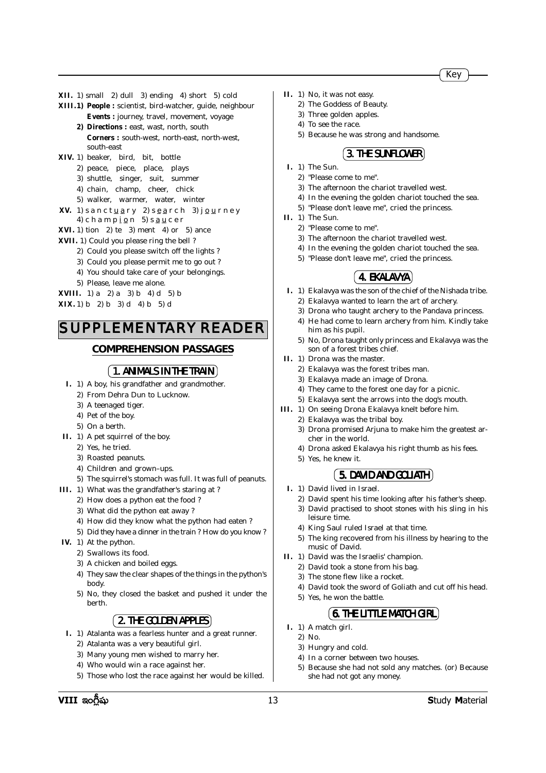- **XII.** 1) small 2) dull 3) ending 4) short 5) cold
- **XIII.1) People :** scientist, bird-watcher, guide, neighbour **Events :** journey, travel, movement, voyage
	- **2) Directions :** east, wast, north, south **Corners :** south-west, north-east, north-west, south-east
- **XIV.** 1) beaker, bird, bit, bottle
	- 2) peace, piece, place, plays
	- 3) shuttle, singer, suit, summer
	- 4) chain, champ, cheer, chick
	- 5) walker, warmer, water, winter
- **XV.** 1) sanctuary 2) search 3) journey 4) c h a m p  $i$  o n 5) s a u c e r
- **XVI.** 1) tion 2) te 3) ment 4) or 5) ance
- **XVII.** 1) Could you please ring the bell ?
	- 2) Could you please switch off the lights ?
	- 3) Could you please permit me to go out ?
	- 4) You should take care of your belongings.
	- 5) Please, leave me alone.

**XVIII.** 1) a 2) a 3) b 4) d 5) b

**XIX.** 1) b 2) b 3) d 4) b 5) d

# SUPPLEMENTARY READER

# **COMPREHENSION PASSAGES**

# **1 . ANIMALS IN THE TRAIN**

- **I.** 1) A boy, his grandfather and grandmother.
	- 2) From Dehra Dun to Lucknow.
	- 3) A teenaged tiger.
	- 4) Pet of the boy.
	- 5) On a berth.
- **II.** 1) A pet squirrel of the boy.
	- 2) Yes, he tried.
	- 3) Roasted peanuts.
	- 4) Children and grown–ups.
	- 5) The squirrel's stomach was full. It was full of peanuts.
- **III.** 1) What was the grandfather's staring at ?
	- 2) How does a python eat the food ?
	- 3) What did the python eat away ?
	- 4) How did they know what the python had eaten ?
	- 5) Did they have a dinner in the train ? How do you know ?
- **IV.** 1) At the python.
	- 2) Swallows its food.
	- 3) A chicken and boiled eggs.
	- 4) They saw the clear shapes of the things in the python's body.
	- 5) No, they closed the basket and pushed it under the berth.

# **2 . THE GOLDEN APPLES**

- **I.** 1) Atalanta was a fearless hunter and a great runner.
	- 2) Atalanta was a very beautiful girl.
	- 3) Many young men wished to marry her.
	- 4) Who would win a race against her.
	- 5) Those who lost the race against her would be killed.
- **II.** 1) No, it was not easy.
	- 2) The Goddess of Beauty.
	- 3) Three golden apples.
	- 4) To see the race.
	- 5) Because he was strong and handsome.

# **(3. THE SUNFLOWER)**

- **I.** 1) The Sun.
	- 2) "Please come to me".
	- 3) The afternoon the chariot travelled west.
	- 4) In the evening the golden chariot touched the sea.
	- 5) "Please don't leave me", cried the princess.
- **II.** 1) The Sun.
	- 2) "Please come to me".
	- 3) The afternoon the chariot travelled west.
	- 4) In the evening the golden chariot touched the sea.
	- 5) "Please don't leave me", cried the princess.

# *4.* **EKALAVYA**

- **I.** 1) Ekalavya was the son of the chief of the Nishada tribe.
	- 2) Ekalavya wanted to learn the art of archery. 3) Drona who taught archery to the Pandava princess.
	- 4) He had come to learn archery from him. Kindly take him as his pupil.
	- 5) No, Drona taught only princess and Ekalavya was the son of a forest tribes chief.
- **II.** 1) Drona was the master.
	- 2) Ekalavya was the forest tribes man.
	- 3) Ekalavya made an image of Drona.
	- 4) They came to the forest one day for a picnic.
	- 5) Ekalavya sent the arrows into the dog's mouth.
- **III.** 1) On seeing Drona Ekalavya knelt before him.
	- 2) Ekalavya was the tribal boy.
	- 3) Drona promised Arjuna to make him the greatest archer in the world.
	- 4) Drona asked Ekalavya his right thumb as his fees.
	- 5) Yes, he knew it.

# **(5. DAVID AND GOLIATH)**

- **I.** 1) David lived in Israel.
	- 2) David spent his time looking after his father's sheep.
	- 3) David practised to shoot stones with his sling in his
	- leisure time.
	- 4) King Saul ruled Israel at that time.
	- 5) The king recovered from his illness by hearing to the music of David.
- **II.** 1) David was the Israelis' champion.
	- 2) David took a stone from his bag.
	- 3) The stone flew like a rocket.
	- 4) David took the sword of Goliath and cut off his head.
	- 5) Yes, he won the battle.

# **6. THE LITTLE MATCH GIRL**

- **I.** 1) A match girl.
	- 2) No.
	- 3) Hungry and cold.
	- 4) In a corner between two houses.
	- 5) Because she had not sold any matches. (or) Because she had not got any money.